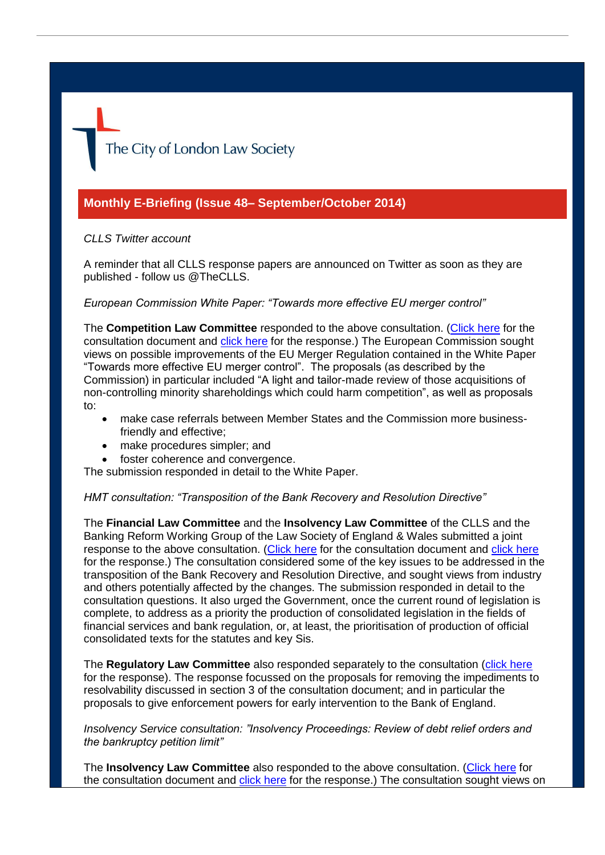The City of London Law Society

# **Monthly E-Briefing (Issue 48– September/October 2014)**

### *CLLS Twitter account*

A reminder that all CLLS response papers are announced on Twitter as soon as they are published - follow us @TheCLLS.

#### *European Commission White Paper: "Towards more effective EU merger control"*

The **Competition Law Committee** responded to the above consultation. [\(Click here](http://ec.europa.eu/competition/consultations/2014_merger_control/index_en.html) for the consultation document and [click here](http://www.citysolicitors.org.uk/attachments/category/108/20141020%20Response%20to%20European%20Commission%20white%20paper%20) for the response.) The European Commission sought views on possible improvements of the EU Merger Regulation contained in the White Paper "Towards more effective EU merger control". The proposals (as described by the Commission) in particular included "A light and tailor-made review of those acquisitions of non-controlling minority shareholdings which could harm competition", as well as proposals to:

- make case referrals between Member States and the Commission more businessfriendly and effective;
- make procedures simpler; and
- foster coherence and convergence.

The submission responded in detail to the White Paper.

#### *HMT consultation: "Transposition of the Bank Recovery and Resolution Directive"*

The **Financial Law Committee** and the **Insolvency Law Committee** of the CLLS and the Banking Reform Working Group of the Law Society of England & Wales submitted a joint response to the above consultation. [\(Click here](https://www.gov.uk/government/consultations/transposition-of-the-bank-recovery-and-resolution-directive) for the consultation document and [click here](http://www.citysolicitors.org.uk/attachments/article/121/20140929%20CLLS%20response%20to%20HMT%20consultation%20on%20Transposition%20of%20the%20Bank%20Recovery%20and%20Resolution%20Directive%20(final).pdf) for the response.) The consultation considered some of the key issues to be addressed in the transposition of the Bank Recovery and Resolution Directive, and sought views from industry and others potentially affected by the changes. The submission responded in detail to the consultation questions. It also urged the Government, once the current round of legislation is complete, to address as a priority the production of consolidated legislation in the fields of financial services and bank regulation, or, at least, the prioritisation of production of official consolidated texts for the statutes and key Sis.

The **Regulatory Law Committee** also responded separately to the consultation [\(click here](http://www.citysolicitors.org.uk/attachments/article/106/20140926%20CLLS%20Submission%20to%20HMT%20-%20Transposition%20of%20BRRD%20(3).pdf) for the response). The response focussed on the proposals for removing the impediments to resolvability discussed in section 3 of the consultation document; and in particular the proposals to give enforcement powers for early intervention to the Bank of England.

*Insolvency Service consultation: "Insolvency Proceedings: Review of debt relief orders and the bankruptcy petition limit"*

The **Insolvency Law Committee** also responded to the above consultation. [\(Click here](https://www.gov.uk/government/consultations/insolvency-proceedings-review-of-debt-relief-orders-and-the-bankruptcy-petition-limit) for the consultation document and [click here](http://www.citysolicitors.org.uk/attachments/article/119/20141003%20Response%20to%20IS%20consultation%20on%20debt%20relief%20orders%20and%20the%20bankruptcy%20petition%20limit%20(final).pdf) for the response.) The consultation sought views on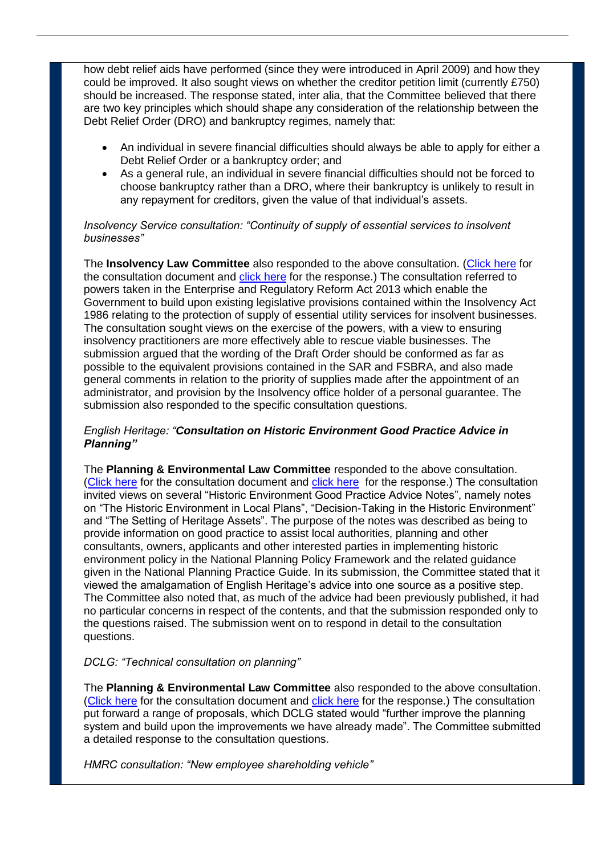how debt relief aids have performed (since they were introduced in April 2009) and how they could be improved. It also sought views on whether the creditor petition limit (currently £750) should be increased. The response stated, inter alia, that the Committee believed that there are two key principles which should shape any consideration of the relationship between the Debt Relief Order (DRO) and bankruptcy regimes, namely that:

- An individual in severe financial difficulties should always be able to apply for either a Debt Relief Order or a bankruptcy order; and
- As a general rule, an individual in severe financial difficulties should not be forced to choose bankruptcy rather than a DRO, where their bankruptcy is unlikely to result in any repayment for creditors, given the value of that individual's assets.

# *Insolvency Service consultation: "Continuity of supply of essential services to insolvent businesses"*

The **Insolvency Law Committee** also responded to the above consultation. [\(Click here](https://www.gov.uk/government/consultations/continuity-of-supply-of-essential-services-to-insolvent-businesses) for the consultation document and [click here](http://www.citysolicitors.org.uk/attachments/article/119/20141007%20CLLS%20Response%20to%20IS%20consultation%20on%20continuity%20of%20supply%20of%20essential%20services%20to%20insolvent%20businesses%20(final).pdf) for the response.) The consultation referred to powers taken in the Enterprise and Regulatory Reform Act 2013 which enable the Government to build upon existing legislative provisions contained within the Insolvency Act 1986 relating to the protection of supply of essential utility services for insolvent businesses. The consultation sought views on the exercise of the powers, with a view to ensuring insolvency practitioners are more effectively able to rescue viable businesses. The submission argued that the wording of the Draft Order should be conformed as far as possible to the equivalent provisions contained in the SAR and FSBRA, and also made general comments in relation to the priority of supplies made after the appointment of an administrator, and provision by the Insolvency office holder of a personal guarantee. The submission also responded to the specific consultation questions.

# *English Heritage: "Consultation on Historic Environment Good Practice Advice in Planning"*

The **Planning & Environmental Law Committee** responded to the above consultation. [\(Click here](http://www.english-heritage.org.uk/publications/guidelines-and-standards/consultations/) for the consultation document and [click here](http://www.citysolicitors.org.uk/attachments/article/109/20140905%20CLLS%20PEC%20Response%20to%20Consultation%20on%20Historic%20Environment%20Good%20Practice%20Advice%20in%20Planning%20(final).pdf) for the response.) The consultation invited views on several "Historic Environment Good Practice Advice Notes", namely notes on "The Historic Environment in Local Plans", "Decision-Taking in the Historic Environment" and "The Setting of Heritage Assets". The purpose of the notes was described as being to provide information on good practice to assist local authorities, planning and other consultants, owners, applicants and other interested parties in implementing historic environment policy in the National Planning Policy Framework and the related guidance given in the National Planning Practice Guide. In its submission, the Committee stated that it viewed the amalgamation of English Heritage's advice into one source as a positive step. The Committee also noted that, as much of the advice had been previously published, it had no particular concerns in respect of the contents, and that the submission responded only to the questions raised. The submission went on to respond in detail to the consultation questions.

# *DCLG: "Technical consultation on planning"*

The **Planning & Environmental Law Committee** also responded to the above consultation. [\(Click here](https://www.gov.uk/government/consultations/technical-consultation-on-planning) for the consultation document and [click here](http://www.citysolicitors.org.uk/attachments/article/109/20140926%20CLLS%20PEC%20Response%20DCLG%20Technical%20consultation%20on%20planning%20(final).pdf) for the response.) The consultation put forward a range of proposals, which DCLG stated would "further improve the planning system and build upon the improvements we have already made". The Committee submitted a detailed response to the consultation questions.

*HMRC consultation: "New employee shareholding vehicle"*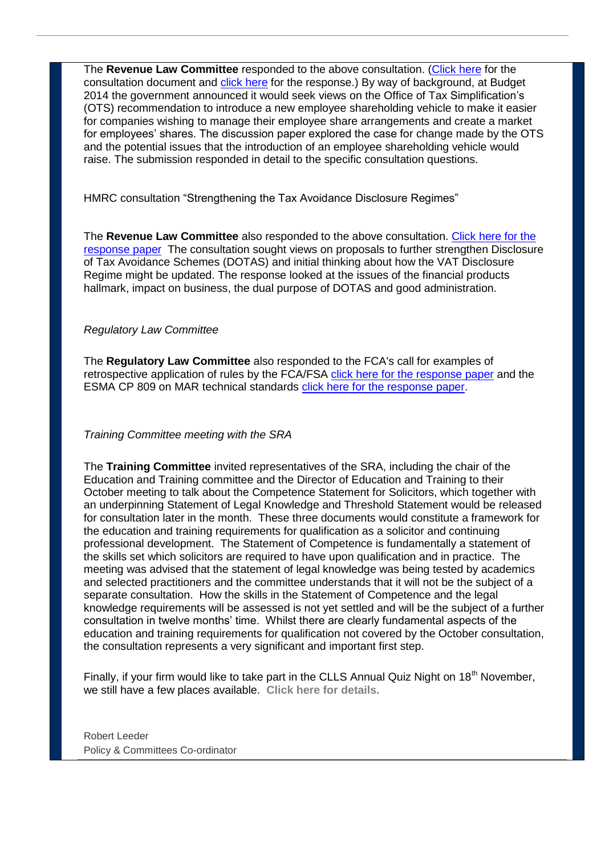The **Revenue Law Committee** responded to the above consultation. [\(Click here](https://www.gov.uk/government/consultations/new-employee-shareholding-vehicle) for the consultation document and [click here](http://www.citysolicitors.org.uk/attachments/article/105/20141009%20Response%20to%20HMRC%20consultation%20on%20New%20Employee%20Shareholding%20Vehicle.pdf) for the response.) By way of background, at Budget 2014 the government announced it would seek views on the Office of Tax Simplification's (OTS) recommendation to introduce a new employee shareholding vehicle to make it easier for companies wishing to manage their employee share arrangements and create a market for employees' shares. The discussion paper explored the case for change made by the OTS and the potential issues that the introduction of an employee shareholding vehicle would raise. The submission responded in detail to the specific consultation questions.

HMRC consultation "Strengthening the Tax Avoidance Disclosure Regimes"

The **Revenue Law Committee** also responded to the above consultation. [Click here for the](http://www.citysolicitors.org.uk/attachments/article/105/20141029%20Response%20on%20HMRC%20consultation%20on%20strengthening%20the%20tax%20avoidance%20disclosure%20regimes.pdf)  [response paper](http://www.citysolicitors.org.uk/attachments/article/105/20141029%20Response%20on%20HMRC%20consultation%20on%20strengthening%20the%20tax%20avoidance%20disclosure%20regimes.pdf) The consultation sought views on proposals to further strengthen Disclosure of Tax Avoidance Schemes (DOTAS) and initial thinking about how the VAT Disclosure Regime might be updated. The response looked at the issues of the financial products hallmark, impact on business, the dual purpose of DOTAS and good administration.

### *Regulatory Law Committee*

The **Regulatory Law Committee** also responded to the FCA's call for examples of retrospective application of rules by the FCA/FSA [click here for the response paper](http://www.citysolicitors.org.uk/attachments/article/106/CLLS%20RL%20Comm%20-%20Response%20to%20FCA%20call%20for%20examples%20of%20retrospective%20application%20of%20rules.pdf) and the ESMA CP 809 on MAR technical standards [click here for the response paper.](http://www.citysolicitors.org.uk/attachments/article/106/ESMA_MAR_CP_TS_CLLS_REPLYFORM.pdf)

#### *Training Committee meeting with the SRA*

The **Training Committee** invited representatives of the SRA, including the chair of the Education and Training committee and the Director of Education and Training to their October meeting to talk about the Competence Statement for Solicitors, which together with an underpinning Statement of Legal Knowledge and Threshold Statement would be released for consultation later in the month. These three documents would constitute a framework for the education and training requirements for qualification as a solicitor and continuing professional development. The Statement of Competence is fundamentally a statement of the skills set which solicitors are required to have upon qualification and in practice. The meeting was advised that the statement of legal knowledge was being tested by academics and selected practitioners and the committee understands that it will not be the subject of a separate consultation. How the skills in the Statement of Competence and the legal knowledge requirements will be assessed is not yet settled and will be the subject of a further consultation in twelve months' time. Whilst there are clearly fundamental aspects of the education and training requirements for qualification not covered by the October consultation, the consultation represents a very significant and important first step.

Finally, if your firm would like to take part in the CLLS Annual Quiz Night on 18<sup>th</sup> November, we still have a few places available. **[Click here for details.](http://www.citysolicitors.org.uk/attachments/category/87/quiz%202014%20poster.pdf)**

Robert Leeder Policy & Committees Co-ordinator